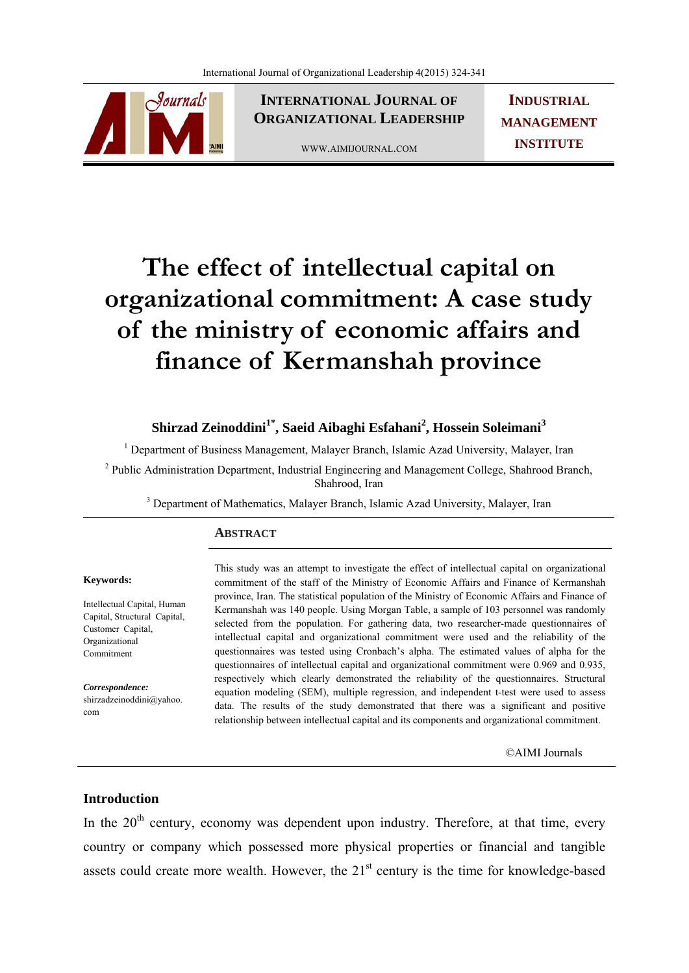

**INTERNATIONAL JOURNAL OF ORGANIZATIONAL LEADERSHIP**

WWW.AIMIJOURNAL.COM

**INDUSTRIAL MANAGEMENT INSTITUTE**

# **The effect of intellectual capital on organizational commitment: A case study of the ministry of economic affairs and finance of Kermanshah province**

# **Shirzad Zeinoddini1\*, Saeid Aibaghi Esfahani2 , Hossein Soleimani<sup>3</sup>**

<sup>1</sup> Department of Business Management, Malayer Branch, Islamic Azad University, Malayer, Iran

<sup>2</sup> Public Administration Department, Industrial Engineering and Management College, Shahrood Branch, Shahrood, Iran

<sup>3</sup> Department of Mathematics, Malayer Branch, Islamic Azad University, Malayer, Iran

# **ABSTRACT**

#### **Keywords:**

Intellectual Capital, Human Capital, Structural Capital, Customer Capital, Organizational Commitment

*Correspondence:*  shirzadzeinoddini@yahoo. com

This study was an attempt to investigate the effect of intellectual capital on organizational commitment of the staff of the Ministry of Economic Affairs and Finance of Kermanshah province, Iran. The statistical population of the Ministry of Economic Affairs and Finance of Kermanshah was 140 people. Using Morgan Table, a sample of 103 personnel was randomly selected from the population. For gathering data, two researcher-made questionnaires of intellectual capital and organizational commitment were used and the reliability of the questionnaires was tested using Cronbach's alpha. The estimated values of alpha for the questionnaires of intellectual capital and organizational commitment were 0.969 and 0.935, respectively which clearly demonstrated the reliability of the questionnaires. Structural equation modeling (SEM), multiple regression, and independent t-test were used to assess data. The results of the study demonstrated that there was a significant and positive relationship between intellectual capital and its components and organizational commitment.

©AIMI Journals

# **Introduction**

In the  $20<sup>th</sup>$  century, economy was dependent upon industry. Therefore, at that time, every country or company which possessed more physical properties or financial and tangible assets could create more wealth. However, the  $21<sup>st</sup>$  century is the time for knowledge-based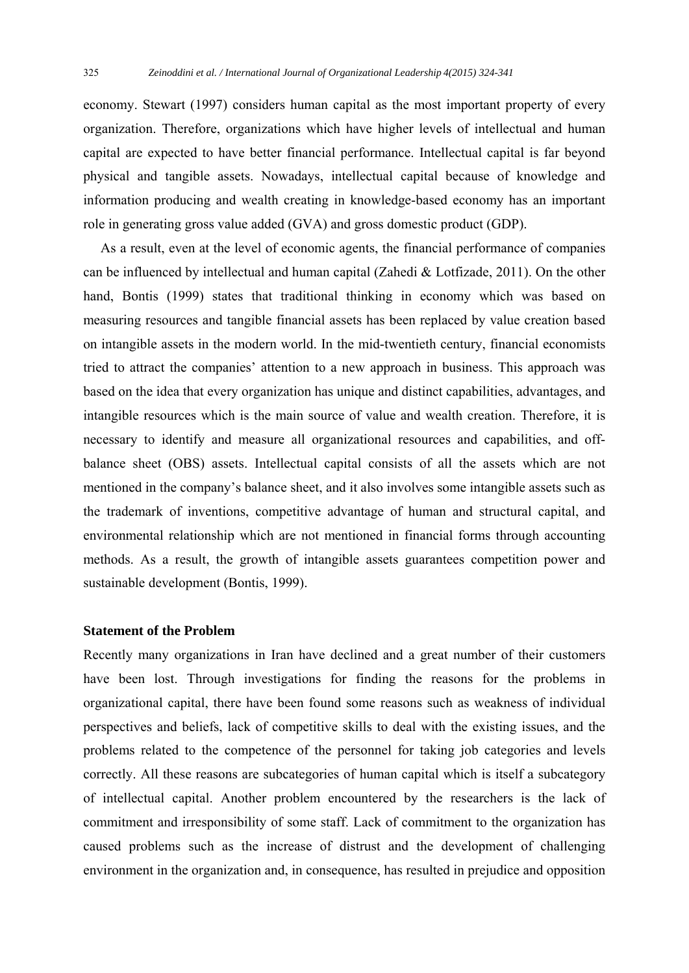economy. Stewart (1997) considers human capital as the most important property of every organization. Therefore, organizations which have higher levels of intellectual and human capital are expected to have better financial performance. Intellectual capital is far beyond physical and tangible assets. Nowadays, intellectual capital because of knowledge and information producing and wealth creating in knowledge-based economy has an important role in generating gross value added (GVA) and gross domestic product (GDP).

 As a result, even at the level of economic agents, the financial performance of companies can be influenced by intellectual and human capital (Zahedi & Lotfizade, 2011). On the other hand, Bontis (1999) states that traditional thinking in economy which was based on measuring resources and tangible financial assets has been replaced by value creation based on intangible assets in the modern world. In the mid-twentieth century, financial economists tried to attract the companies' attention to a new approach in business. This approach was based on the idea that every organization has unique and distinct capabilities, advantages, and intangible resources which is the main source of value and wealth creation. Therefore, it is necessary to identify and measure all organizational resources and capabilities, and offbalance sheet (OBS) assets. Intellectual capital consists of all the assets which are not mentioned in the company's balance sheet, and it also involves some intangible assets such as the trademark of inventions, competitive advantage of human and structural capital, and environmental relationship which are not mentioned in financial forms through accounting methods. As a result, the growth of intangible assets guarantees competition power and sustainable development (Bontis, 1999).

# **Statement of the Problem**

Recently many organizations in Iran have declined and a great number of their customers have been lost. Through investigations for finding the reasons for the problems in organizational capital, there have been found some reasons such as weakness of individual perspectives and beliefs, lack of competitive skills to deal with the existing issues, and the problems related to the competence of the personnel for taking job categories and levels correctly. All these reasons are subcategories of human capital which is itself a subcategory of intellectual capital. Another problem encountered by the researchers is the lack of commitment and irresponsibility of some staff. Lack of commitment to the organization has caused problems such as the increase of distrust and the development of challenging environment in the organization and, in consequence, has resulted in prejudice and opposition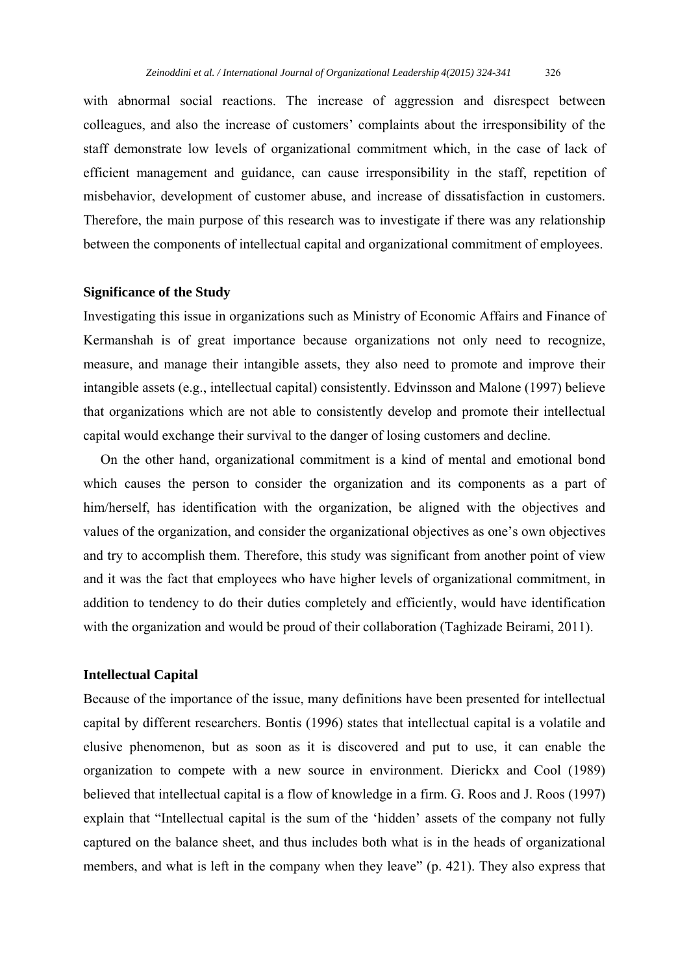with abnormal social reactions. The increase of aggression and disrespect between colleagues, and also the increase of customers' complaints about the irresponsibility of the staff demonstrate low levels of organizational commitment which, in the case of lack of efficient management and guidance, can cause irresponsibility in the staff, repetition of misbehavior, development of customer abuse, and increase of dissatisfaction in customers. Therefore, the main purpose of this research was to investigate if there was any relationship between the components of intellectual capital and organizational commitment of employees.

#### **Significance of the Study**

Investigating this issue in organizations such as Ministry of Economic Affairs and Finance of Kermanshah is of great importance because organizations not only need to recognize, measure, and manage their intangible assets, they also need to promote and improve their intangible assets (e.g., intellectual capital) consistently. Edvinsson and Malone (1997) believe that organizations which are not able to consistently develop and promote their intellectual capital would exchange their survival to the danger of losing customers and decline.

 On the other hand, organizational commitment is a kind of mental and emotional bond which causes the person to consider the organization and its components as a part of him/herself, has identification with the organization, be aligned with the objectives and values of the organization, and consider the organizational objectives as one's own objectives and try to accomplish them. Therefore, this study was significant from another point of view and it was the fact that employees who have higher levels of organizational commitment, in addition to tendency to do their duties completely and efficiently, would have identification with the organization and would be proud of their collaboration (Taghizade Beirami, 2011).

# **Intellectual Capital**

Because of the importance of the issue, many definitions have been presented for intellectual capital by different researchers. Bontis (1996) states that intellectual capital is a volatile and elusive phenomenon, but as soon as it is discovered and put to use, it can enable the organization to compete with a new source in environment. Dierickx and Cool (1989) believed that intellectual capital is a flow of knowledge in a firm. G. Roos and J. Roos (1997) explain that "Intellectual capital is the sum of the 'hidden' assets of the company not fully captured on the balance sheet, and thus includes both what is in the heads of organizational members, and what is left in the company when they leave" (p. 421). They also express that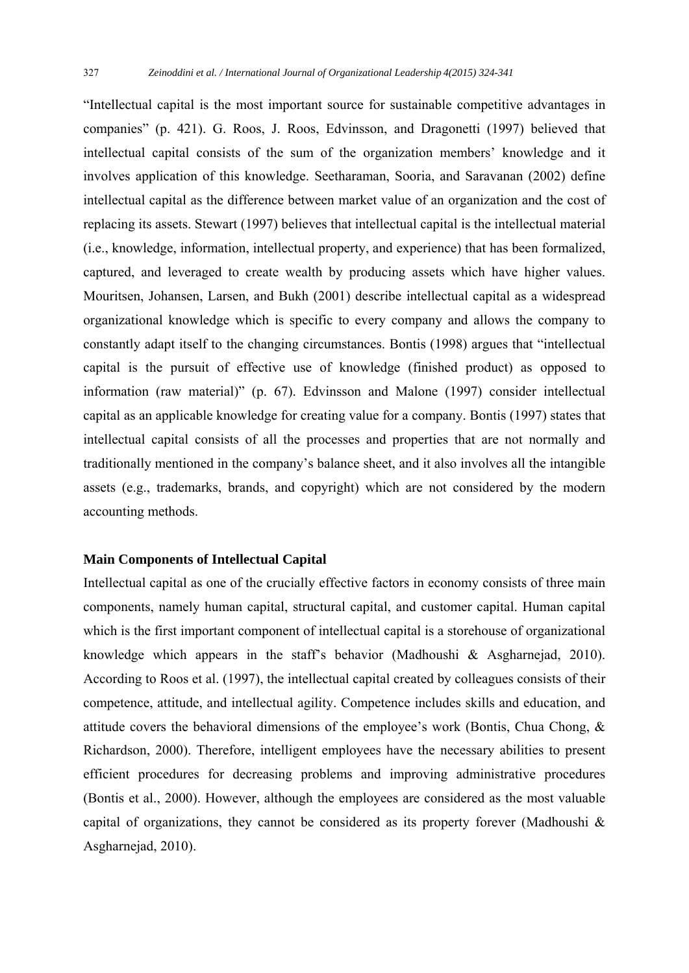"Intellectual capital is the most important source for sustainable competitive advantages in companies" (p. 421). G. Roos, J. Roos, Edvinsson, and Dragonetti (1997) believed that intellectual capital consists of the sum of the organization members' knowledge and it involves application of this knowledge. Seetharaman, Sooria, and Saravanan (2002) define intellectual capital as the difference between market value of an organization and the cost of replacing its assets. Stewart (1997) believes that intellectual capital is the intellectual material (i.e., knowledge, information, intellectual property, and experience) that has been formalized, captured, and leveraged to create wealth by producing assets which have higher values. Mouritsen, Johansen, Larsen, and Bukh (2001) describe intellectual capital as a widespread organizational knowledge which is specific to every company and allows the company to constantly adapt itself to the changing circumstances. Bontis (1998) argues that "intellectual capital is the pursuit of effective use of knowledge (finished product) as opposed to information (raw material)" (p. 67). Edvinsson and Malone (1997) consider intellectual capital as an applicable knowledge for creating value for a company. Bontis (1997) states that intellectual capital consists of all the processes and properties that are not normally and traditionally mentioned in the company's balance sheet, and it also involves all the intangible assets (e.g., trademarks, brands, and copyright) which are not considered by the modern accounting methods.

### **Main Components of Intellectual Capital**

Intellectual capital as one of the crucially effective factors in economy consists of three main components, namely human capital, structural capital, and customer capital. Human capital which is the first important component of intellectual capital is a storehouse of organizational knowledge which appears in the staff's behavior (Madhoushi & Asgharnejad, 2010). According to Roos et al. (1997), the intellectual capital created by colleagues consists of their competence, attitude, and intellectual agility. Competence includes skills and education, and attitude covers the behavioral dimensions of the employee's work (Bontis, Chua Chong, & Richardson, 2000). Therefore, intelligent employees have the necessary abilities to present efficient procedures for decreasing problems and improving administrative procedures (Bontis et al., 2000). However, although the employees are considered as the most valuable capital of organizations, they cannot be considered as its property forever (Madhoushi  $\&$ Asgharnejad, 2010).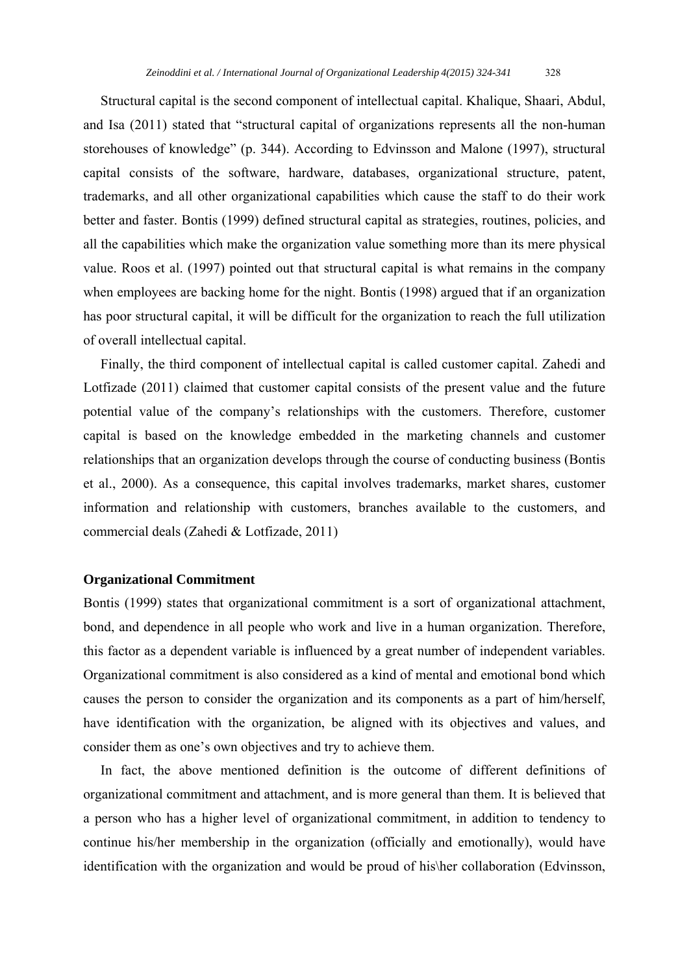Structural capital is the second component of intellectual capital. Khalique, Shaari, Abdul, and Isa (2011) stated that "structural capital of organizations represents all the non-human storehouses of knowledge" (p. 344). According to Edvinsson and Malone (1997), structural capital consists of the software, hardware, databases, organizational structure, patent, trademarks, and all other organizational capabilities which cause the staff to do their work better and faster. Bontis (1999) defined structural capital as strategies, routines, policies, and all the capabilities which make the organization value something more than its mere physical value. Roos et al. (1997) pointed out that structural capital is what remains in the company when employees are backing home for the night. Bontis (1998) argued that if an organization has poor structural capital, it will be difficult for the organization to reach the full utilization of overall intellectual capital.

 Finally, the third component of intellectual capital is called customer capital. Zahedi and Lotfizade (2011) claimed that customer capital consists of the present value and the future potential value of the company's relationships with the customers. Therefore, customer capital is based on the knowledge embedded in the marketing channels and customer relationships that an organization develops through the course of conducting business (Bontis et al., 2000). As a consequence, this capital involves trademarks, market shares, customer information and relationship with customers, branches available to the customers, and commercial deals (Zahedi & Lotfizade, 2011)

# **Organizational Commitment**

Bontis (1999) states that organizational commitment is a sort of organizational attachment, bond, and dependence in all people who work and live in a human organization. Therefore, this factor as a dependent variable is influenced by a great number of independent variables. Organizational commitment is also considered as a kind of mental and emotional bond which causes the person to consider the organization and its components as a part of him/herself, have identification with the organization, be aligned with its objectives and values, and consider them as one's own objectives and try to achieve them.

 In fact, the above mentioned definition is the outcome of different definitions of organizational commitment and attachment, and is more general than them. It is believed that a person who has a higher level of organizational commitment, in addition to tendency to continue his/her membership in the organization (officially and emotionally), would have identification with the organization and would be proud of his\her collaboration (Edvinsson,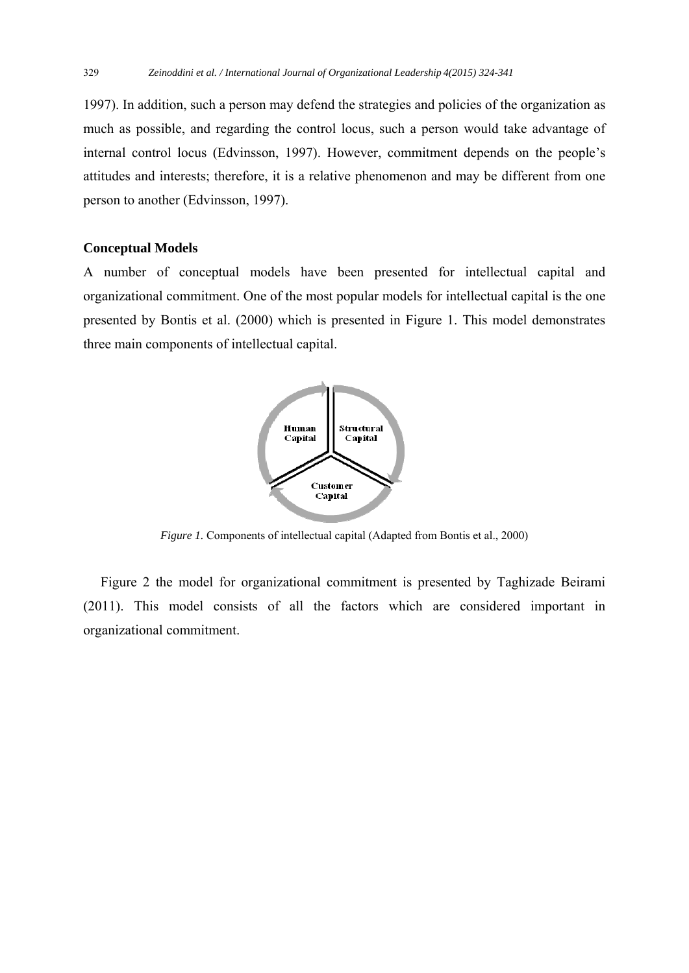1997). In addition, such a person may defend the strategies and policies of the organization as much as possible, and regarding the control locus, such a person would take advantage of internal control locus (Edvinsson, 1997). However, commitment depends on the people's attitudes and interests; therefore, it is a relative phenomenon and may be different from one person to another (Edvinsson, 1997).

# **Conceptual Models**

A number of conceptual models have been presented for intellectual capital and organizational commitment. One of the most popular models for intellectual capital is the one presented by Bontis et al. (2000) which is presented in Figure 1. This model demonstrates three main components of intellectual capital.



*Figure 1.* Components of intellectual capital (Adapted from Bontis et al., 2000)

 Figure 2 the model for organizational commitment is presented by Taghizade Beirami (2011). This model consists of all the factors which are considered important in organizational commitment.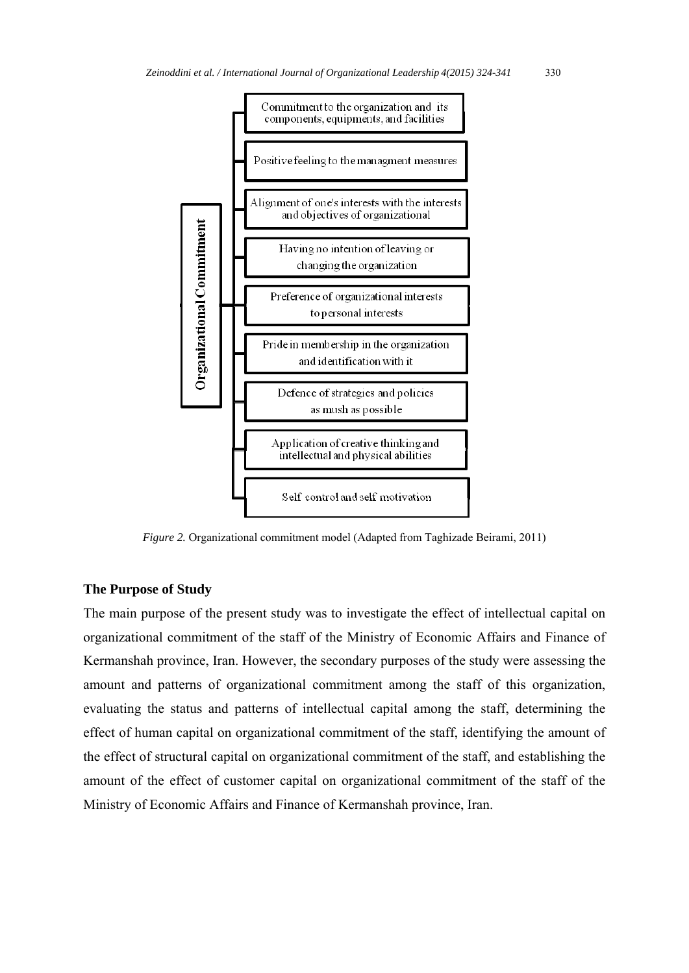

*Figure 2.* Organizational commitment model (Adapted from Taghizade Beirami, 2011)

# **The Purpose of Study**

The main purpose of the present study was to investigate the effect of intellectual capital on organizational commitment of the staff of the Ministry of Economic Affairs and Finance of Kermanshah province, Iran. However, the secondary purposes of the study were assessing the amount and patterns of organizational commitment among the staff of this organization, evaluating the status and patterns of intellectual capital among the staff, determining the effect of human capital on organizational commitment of the staff, identifying the amount of the effect of structural capital on organizational commitment of the staff, and establishing the amount of the effect of customer capital on organizational commitment of the staff of the Ministry of Economic Affairs and Finance of Kermanshah province, Iran.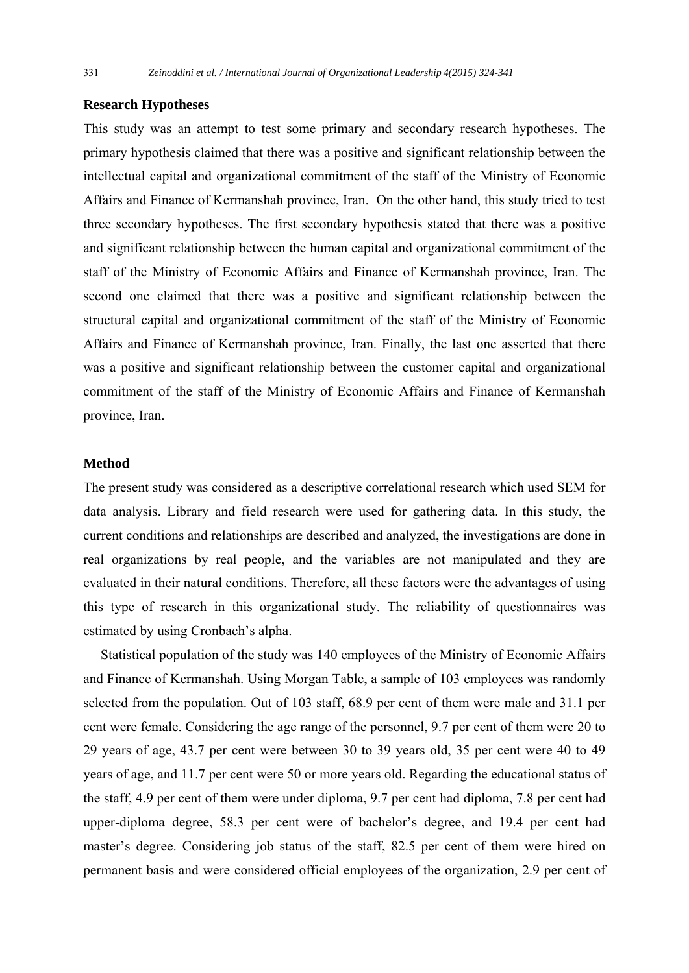# **Research Hypotheses**

This study was an attempt to test some primary and secondary research hypotheses. The primary hypothesis claimed that there was a positive and significant relationship between the intellectual capital and organizational commitment of the staff of the Ministry of Economic Affairs and Finance of Kermanshah province, Iran. On the other hand, this study tried to test three secondary hypotheses. The first secondary hypothesis stated that there was a positive and significant relationship between the human capital and organizational commitment of the staff of the Ministry of Economic Affairs and Finance of Kermanshah province, Iran. The second one claimed that there was a positive and significant relationship between the structural capital and organizational commitment of the staff of the Ministry of Economic Affairs and Finance of Kermanshah province, Iran. Finally, the last one asserted that there was a positive and significant relationship between the customer capital and organizational commitment of the staff of the Ministry of Economic Affairs and Finance of Kermanshah province, Iran.

# **Method**

The present study was considered as a descriptive correlational research which used SEM for data analysis. Library and field research were used for gathering data. In this study, the current conditions and relationships are described and analyzed, the investigations are done in real organizations by real people, and the variables are not manipulated and they are evaluated in their natural conditions. Therefore, all these factors were the advantages of using this type of research in this organizational study. The reliability of questionnaires was estimated by using Cronbach's alpha.

 Statistical population of the study was 140 employees of the Ministry of Economic Affairs and Finance of Kermanshah. Using Morgan Table, a sample of 103 employees was randomly selected from the population. Out of 103 staff, 68.9 per cent of them were male and 31.1 per cent were female. Considering the age range of the personnel, 9.7 per cent of them were 20 to 29 years of age, 43.7 per cent were between 30 to 39 years old, 35 per cent were 40 to 49 years of age, and 11.7 per cent were 50 or more years old. Regarding the educational status of the staff, 4.9 per cent of them were under diploma, 9.7 per cent had diploma, 7.8 per cent had upper-diploma degree, 58.3 per cent were of bachelor's degree, and 19.4 per cent had master's degree. Considering job status of the staff, 82.5 per cent of them were hired on permanent basis and were considered official employees of the organization, 2.9 per cent of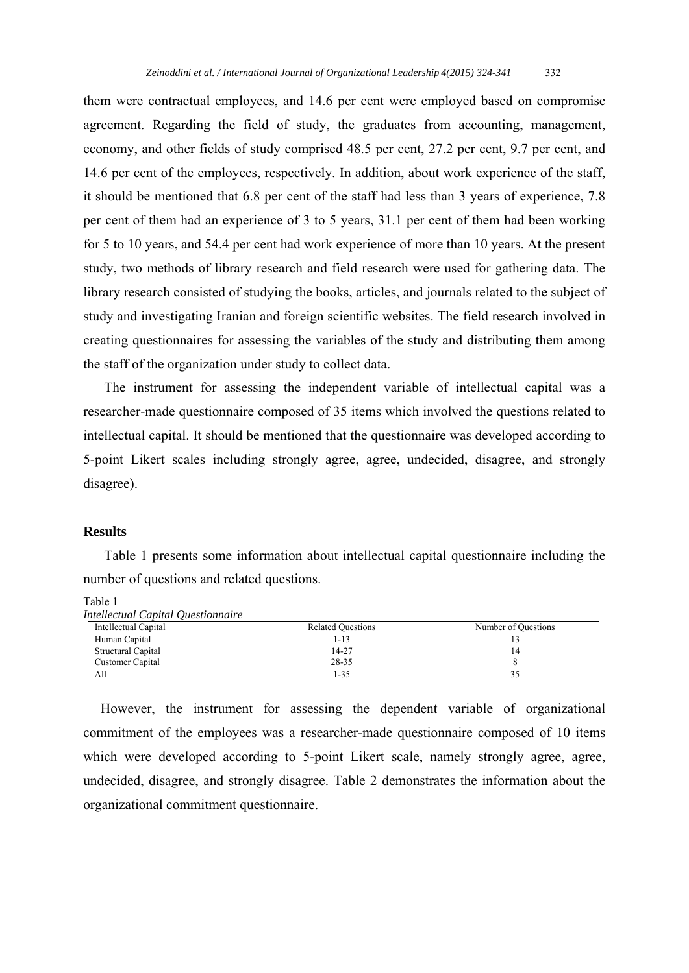them were contractual employees, and 14.6 per cent were employed based on compromise agreement. Regarding the field of study, the graduates from accounting, management, economy, and other fields of study comprised 48.5 per cent, 27.2 per cent, 9.7 per cent, and 14.6 per cent of the employees, respectively. In addition, about work experience of the staff, it should be mentioned that 6.8 per cent of the staff had less than 3 years of experience, 7.8 per cent of them had an experience of 3 to 5 years, 31.1 per cent of them had been working for 5 to 10 years, and 54.4 per cent had work experience of more than 10 years. At the present study, two methods of library research and field research were used for gathering data. The library research consisted of studying the books, articles, and journals related to the subject of study and investigating Iranian and foreign scientific websites. The field research involved in creating questionnaires for assessing the variables of the study and distributing them among the staff of the organization under study to collect data.

The instrument for assessing the independent variable of intellectual capital was a researcher-made questionnaire composed of 35 items which involved the questions related to intellectual capital. It should be mentioned that the questionnaire was developed according to 5-point Likert scales including strongly agree, agree, undecided, disagree, and strongly disagree).

#### **Results**

Table 1 presents some information about intellectual capital questionnaire including the number of questions and related questions.

Table 1

| Interfectual Captuli Questionnaire |                          |                     |
|------------------------------------|--------------------------|---------------------|
| Intellectual Capital               | <b>Related Ouestions</b> | Number of Questions |
| Human Capital                      | 1-13                     |                     |
| Structural Capital                 | 14-27                    |                     |
| Customer Capital                   | 28-35                    |                     |
| All                                | $1 - 35$                 |                     |

*Intellectual Capital Questionnaire* 

 However, the instrument for assessing the dependent variable of organizational commitment of the employees was a researcher-made questionnaire composed of 10 items which were developed according to 5-point Likert scale, namely strongly agree, agree, undecided, disagree, and strongly disagree. Table 2 demonstrates the information about the organizational commitment questionnaire.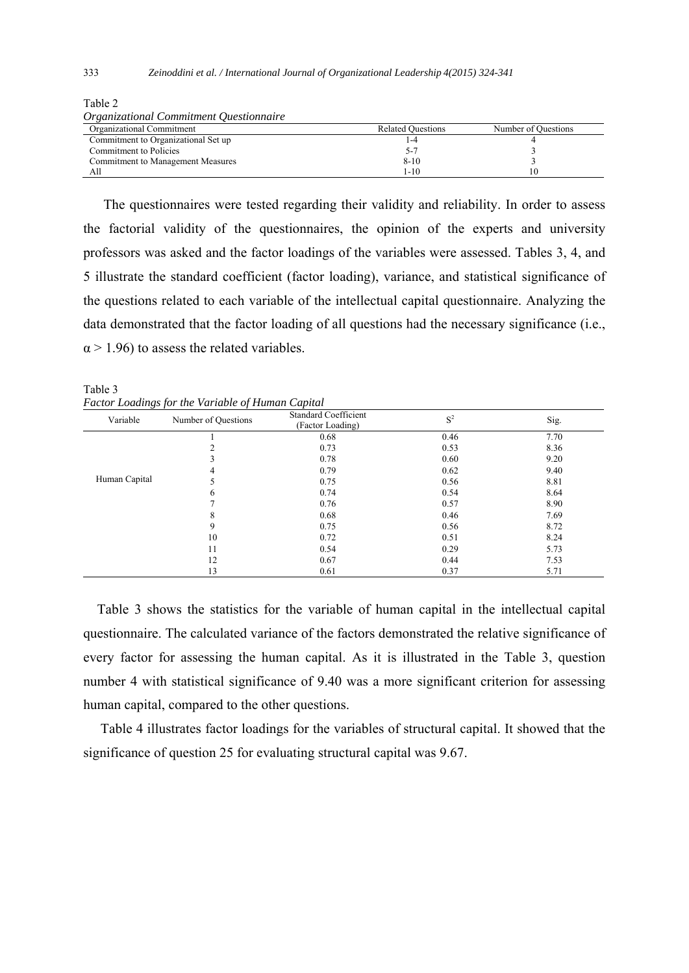| <i><b>Organizational Commitment Questionnaire</b></i> |                          |                     |
|-------------------------------------------------------|--------------------------|---------------------|
| Organizational Commitment                             | <b>Related Ouestions</b> | Number of Ouestions |
| Commitment to Organizational Set up                   | -4                       |                     |
| Commitment to Policies                                |                          |                     |
| Commitment to Management Measures                     | $8 - 10$                 |                     |
| All                                                   | l-10                     |                     |

Table 2 *Organizational Commitment Questionnaire* 

 The questionnaires were tested regarding their validity and reliability. In order to assess the factorial validity of the questionnaires, the opinion of the experts and university professors was asked and the factor loadings of the variables were assessed. Tables 3, 4, and 5 illustrate the standard coefficient (factor loading), variance, and statistical significance of the questions related to each variable of the intellectual capital questionnaire. Analyzing the data demonstrated that the factor loading of all questions had the necessary significance (i.e.,  $\alpha$  > 1.96) to assess the related variables.

Table 3 *Factor Loadings for the Variable of Human Capital* 

| $\sim$ $\sim$<br>Variable | Number of Questions | <b>Standard Coefficient</b><br>(Factor Loading) | $S^2$ | Sig. |
|---------------------------|---------------------|-------------------------------------------------|-------|------|
|                           |                     | 0.68                                            | 0.46  | 7.70 |
|                           |                     | 0.73                                            | 0.53  | 8.36 |
|                           | 3                   | 0.78                                            | 0.60  | 9.20 |
|                           | 4                   | 0.79                                            | 0.62  | 9.40 |
| Human Capital             | 5                   | 0.75                                            | 0.56  | 8.81 |
|                           | 6                   | 0.74                                            | 0.54  | 8.64 |
|                           |                     | 0.76                                            | 0.57  | 8.90 |
|                           | 8                   | 0.68                                            | 0.46  | 7.69 |
|                           | 9                   | 0.75                                            | 0.56  | 8.72 |
|                           | 10                  | 0.72                                            | 0.51  | 8.24 |
|                           | 11                  | 0.54                                            | 0.29  | 5.73 |
|                           | 12                  | 0.67                                            | 0.44  | 7.53 |
|                           | 13                  | 0.61                                            | 0.37  | 5.71 |

 Table 3 shows the statistics for the variable of human capital in the intellectual capital questionnaire. The calculated variance of the factors demonstrated the relative significance of every factor for assessing the human capital. As it is illustrated in the Table 3, question number 4 with statistical significance of 9.40 was a more significant criterion for assessing human capital, compared to the other questions.

 Table 4 illustrates factor loadings for the variables of structural capital. It showed that the significance of question 25 for evaluating structural capital was 9.67.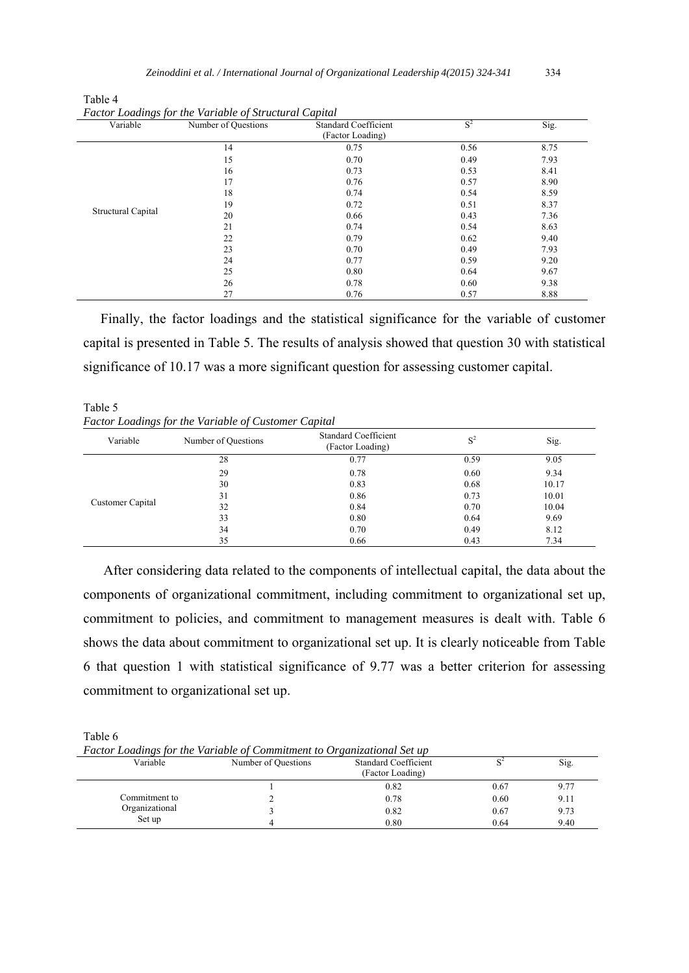| Variable                                                           | Number of Questions | <b>Standard Coefficient</b><br>(Factor Loading) | $S^2$ | Sig. |
|--------------------------------------------------------------------|---------------------|-------------------------------------------------|-------|------|
| 14<br>15<br>16<br>17<br>18<br>19<br>Structural Capital<br>20<br>21 |                     | 0.75                                            | 0.56  | 8.75 |
|                                                                    |                     | 0.70                                            | 0.49  | 7.93 |
|                                                                    |                     | 0.73                                            | 0.53  | 8.41 |
|                                                                    |                     | 0.76                                            | 0.57  | 8.90 |
|                                                                    |                     | 0.74                                            | 0.54  | 8.59 |
|                                                                    |                     | 0.72                                            | 0.51  | 8.37 |
|                                                                    |                     | 0.66                                            | 0.43  | 7.36 |
|                                                                    |                     | 0.74                                            | 0.54  | 8.63 |
|                                                                    | 22                  | 0.79                                            | 0.62  | 9.40 |
| 23<br>24<br>25<br>26                                               |                     | 0.70                                            | 0.49  | 7.93 |
|                                                                    |                     | 0.77                                            | 0.59  | 9.20 |
|                                                                    |                     | 0.80                                            | 0.64  | 9.67 |
|                                                                    |                     | 0.78                                            | 0.60  | 9.38 |
|                                                                    | 27                  | 0.76                                            | 0.57  | 8.88 |

Table 4 *Factor Loadings for the Variable of Structural Capital* 

 Finally, the factor loadings and the statistical significance for the variable of customer capital is presented in Table 5. The results of analysis showed that question 30 with statistical significance of 10.17 was a more significant question for assessing customer capital.

Table 5 *Factor Loadings for the Variable of Customer Capital* 

| Variable         | Number of Questions | <b>Standard Coefficient</b><br>(Factor Loading) | $S^2$ | Sig.  |
|------------------|---------------------|-------------------------------------------------|-------|-------|
| Customer Capital | 28                  | 0.77                                            | 0.59  | 9.05  |
|                  | 29                  | 0.78                                            | 0.60  | 9.34  |
|                  | 30                  | 0.83                                            | 0.68  | 10.17 |
|                  | 31                  | 0.86                                            | 0.73  | 10.01 |
|                  | 32                  | 0.84                                            | 0.70  | 10.04 |
|                  | 33                  | 0.80                                            | 0.64  | 9.69  |
|                  | 34                  | 0.70                                            | 0.49  | 8.12  |
|                  | 35                  | 0.66                                            | 0.43  | 7.34  |

 After considering data related to the components of intellectual capital, the data about the components of organizational commitment, including commitment to organizational set up, commitment to policies, and commitment to management measures is dealt with. Table 6 shows the data about commitment to organizational set up. It is clearly noticeable from Table 6 that question 1 with statistical significance of 9.77 was a better criterion for assessing commitment to organizational set up.

Table 6

*Factor Loadings for the Variable of Commitment to Organizational Set up* 

| $\mathbf{v}$   |                     |                                                 |      |      |
|----------------|---------------------|-------------------------------------------------|------|------|
| Variable       | Number of Questions | <b>Standard Coefficient</b><br>(Factor Loading) |      | Sig. |
|                |                     | 0.82                                            | 0.67 | 9.77 |
| Commitment to  |                     | 0.78                                            | 0.60 | 9.11 |
| Organizational |                     | 0.82                                            | 0.67 | 9.73 |
| Set up         |                     | 0.80                                            | 0.64 | 9.40 |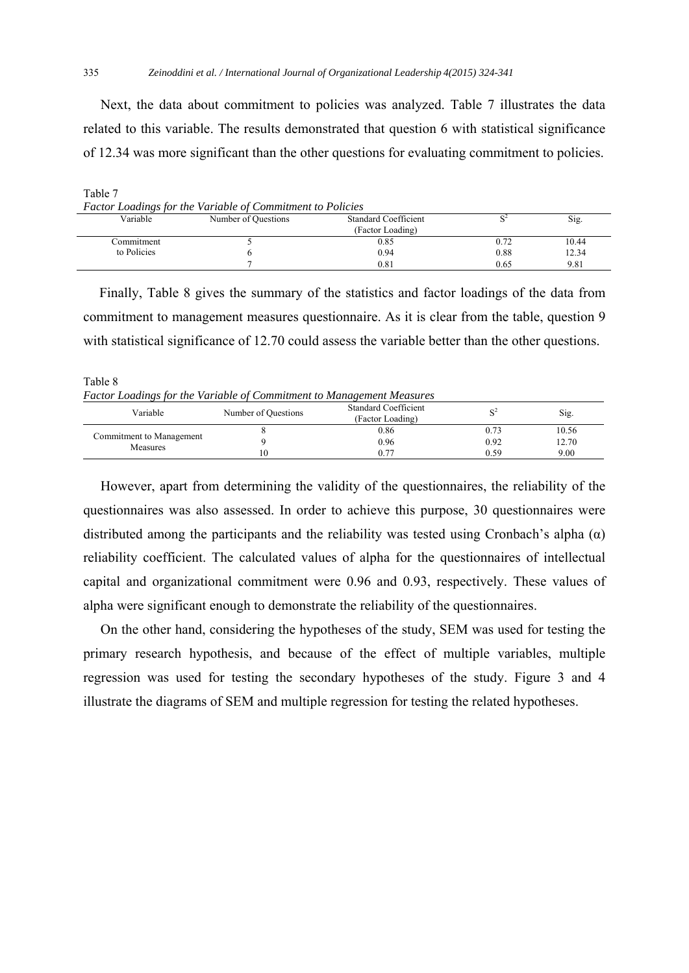Next, the data about commitment to policies was analyzed. Table 7 illustrates the data related to this variable. The results demonstrated that question 6 with statistical significance of 12.34 was more significant than the other questions for evaluating commitment to policies.

| Table 7     |                                                                   |                             |      |       |
|-------------|-------------------------------------------------------------------|-----------------------------|------|-------|
|             | <b>Factor Loadings for the Variable of Commitment to Policies</b> |                             |      |       |
| Variable    | Number of Questions                                               | <b>Standard Coefficient</b> |      | Sig.  |
|             |                                                                   | (Factor Loading)            |      |       |
| Commitment  |                                                                   | 0.85                        | 0.72 | 10.44 |
| to Policies |                                                                   | 0.94                        | 0.88 | 12.34 |
|             |                                                                   | 0.81                        | 0.65 | 9.81  |

 Finally, Table 8 gives the summary of the statistics and factor loadings of the data from commitment to management measures questionnaire. As it is clear from the table, question 9 with statistical significance of 12.70 could assess the variable better than the other questions.

Table 8 *Factor Loadings for the Variable of Commitment to Management Measures* 

| Variable                                    | Number of Questions | <b>Standard Coefficient</b><br>(Factor Loading) |      | Sig.  |
|---------------------------------------------|---------------------|-------------------------------------------------|------|-------|
| Commitment to Management<br><b>Measures</b> |                     | 0.86                                            |      | 10.56 |
|                                             |                     | 0.96                                            | 0.92 | 12.70 |
|                                             | 10                  | ለ 77                                            | 0.59 | 9.00  |

 However, apart from determining the validity of the questionnaires, the reliability of the questionnaires was also assessed. In order to achieve this purpose, 30 questionnaires were distributed among the participants and the reliability was tested using Cronbach's alpha  $(\alpha)$ reliability coefficient. The calculated values of alpha for the questionnaires of intellectual capital and organizational commitment were 0.96 and 0.93, respectively. These values of alpha were significant enough to demonstrate the reliability of the questionnaires.

 On the other hand, considering the hypotheses of the study, SEM was used for testing the primary research hypothesis, and because of the effect of multiple variables, multiple regression was used for testing the secondary hypotheses of the study. Figure 3 and 4 illustrate the diagrams of SEM and multiple regression for testing the related hypotheses.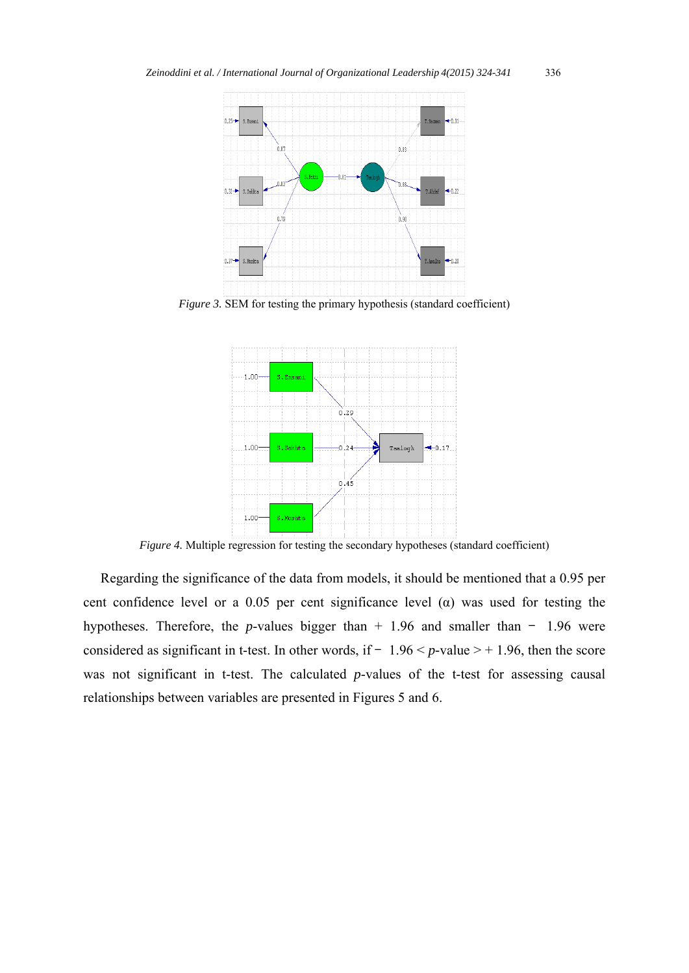

*Figure 3.* SEM for testing the primary hypothesis (standard coefficient)



*Figure 4.* Multiple regression for testing the secondary hypotheses (standard coefficient)

 Regarding the significance of the data from models, it should be mentioned that a 0.95 per cent confidence level or a 0.05 per cent significance level  $(\alpha)$  was used for testing the hypotheses. Therefore, the *p*-values bigger than  $+ 1.96$  and smaller than  $- 1.96$  were considered as significant in t-test. In other words, if  $-1.96 < p$ -value  $> +1.96$ , then the score was not significant in t-test. The calculated *p*-values of the t-test for assessing causal relationships between variables are presented in Figures 5 and 6.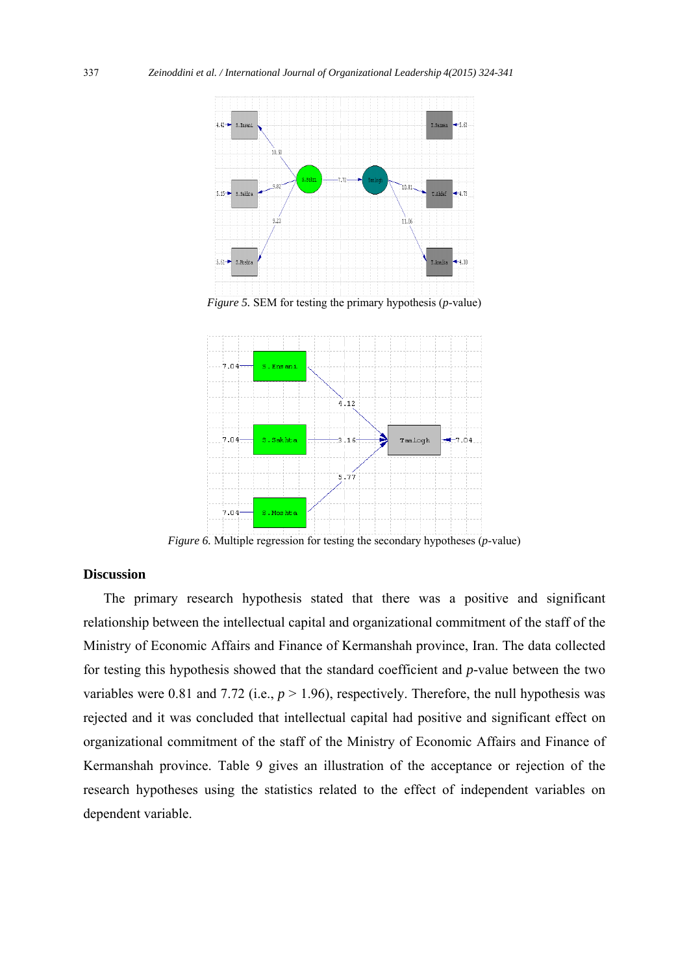

*Figure 6.* Multiple regression for testing the secondary hypotheses (*p*-value)

# **Discussion**

 The primary research hypothesis stated that there was a positive and significant relationship between the intellectual capital and organizational commitment of the staff of the Ministry of Economic Affairs and Finance of Kermanshah province, Iran. The data collected for testing this hypothesis showed that the standard coefficient and *p-*value between the two variables were 0.81 and 7.72 (i.e.,  $p > 1.96$ ), respectively. Therefore, the null hypothesis was rejected and it was concluded that intellectual capital had positive and significant effect on organizational commitment of the staff of the Ministry of Economic Affairs and Finance of Kermanshah province. Table 9 gives an illustration of the acceptance or rejection of the research hypotheses using the statistics related to the effect of independent variables on dependent variable.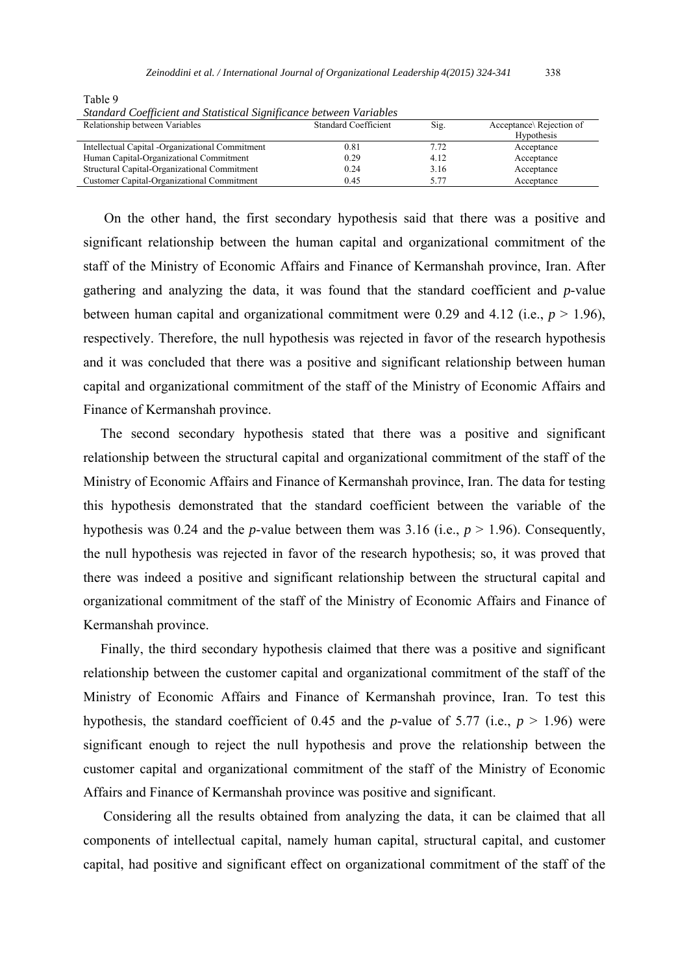| Standard Coefficient and Statistical Significance between Variables |                             |      |                         |  |  |  |
|---------------------------------------------------------------------|-----------------------------|------|-------------------------|--|--|--|
| Relationship between Variables                                      | <b>Standard Coefficient</b> | Sig. | Acceptance Rejection of |  |  |  |
|                                                                     |                             |      | <b>Hypothesis</b>       |  |  |  |
| Intellectual Capital -Organizational Commitment                     | 0.81                        | 7.72 | Acceptance              |  |  |  |
| Human Capital-Organizational Commitment                             | 0.29                        | 4.12 | Acceptance              |  |  |  |
| Structural Capital-Organizational Commitment                        | 0.24                        | 3.16 | Acceptance              |  |  |  |
| Customer Capital-Organizational Commitment                          | 0.45                        | 5.77 | Acceptance              |  |  |  |

*Standard Coefficient and Statistical Significance between Variables* 

Table 9

 On the other hand, the first secondary hypothesis said that there was a positive and significant relationship between the human capital and organizational commitment of the staff of the Ministry of Economic Affairs and Finance of Kermanshah province, Iran. After gathering and analyzing the data, it was found that the standard coefficient and *p*-value between human capital and organizational commitment were 0.29 and 4.12 (i.e.,  $p > 1.96$ ), respectively. Therefore, the null hypothesis was rejected in favor of the research hypothesis and it was concluded that there was a positive and significant relationship between human capital and organizational commitment of the staff of the Ministry of Economic Affairs and Finance of Kermanshah province.

 The second secondary hypothesis stated that there was a positive and significant relationship between the structural capital and organizational commitment of the staff of the Ministry of Economic Affairs and Finance of Kermanshah province, Iran. The data for testing this hypothesis demonstrated that the standard coefficient between the variable of the hypothesis was 0.24 and the *p*-value between them was 3.16 (i.e.,  $p > 1.96$ ). Consequently, the null hypothesis was rejected in favor of the research hypothesis; so, it was proved that there was indeed a positive and significant relationship between the structural capital and organizational commitment of the staff of the Ministry of Economic Affairs and Finance of Kermanshah province.

 Finally, the third secondary hypothesis claimed that there was a positive and significant relationship between the customer capital and organizational commitment of the staff of the Ministry of Economic Affairs and Finance of Kermanshah province, Iran. To test this hypothesis, the standard coefficient of 0.45 and the *p*-value of 5.77 (i.e.,  $p > 1.96$ ) were significant enough to reject the null hypothesis and prove the relationship between the customer capital and organizational commitment of the staff of the Ministry of Economic Affairs and Finance of Kermanshah province was positive and significant.

 Considering all the results obtained from analyzing the data, it can be claimed that all components of intellectual capital, namely human capital, structural capital, and customer capital, had positive and significant effect on organizational commitment of the staff of the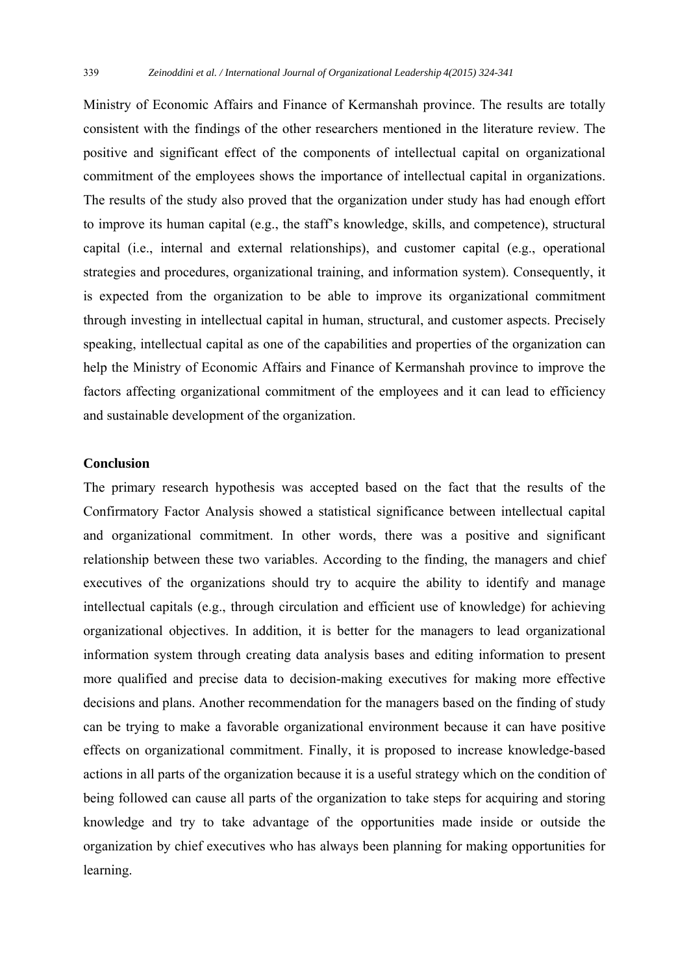Ministry of Economic Affairs and Finance of Kermanshah province. The results are totally consistent with the findings of the other researchers mentioned in the literature review. The positive and significant effect of the components of intellectual capital on organizational commitment of the employees shows the importance of intellectual capital in organizations. The results of the study also proved that the organization under study has had enough effort to improve its human capital (e.g., the staff's knowledge, skills, and competence), structural capital (i.e., internal and external relationships), and customer capital (e.g., operational strategies and procedures, organizational training, and information system). Consequently, it is expected from the organization to be able to improve its organizational commitment through investing in intellectual capital in human, structural, and customer aspects. Precisely speaking, intellectual capital as one of the capabilities and properties of the organization can help the Ministry of Economic Affairs and Finance of Kermanshah province to improve the factors affecting organizational commitment of the employees and it can lead to efficiency and sustainable development of the organization.

### **Conclusion**

The primary research hypothesis was accepted based on the fact that the results of the Confirmatory Factor Analysis showed a statistical significance between intellectual capital and organizational commitment. In other words, there was a positive and significant relationship between these two variables. According to the finding, the managers and chief executives of the organizations should try to acquire the ability to identify and manage intellectual capitals (e.g., through circulation and efficient use of knowledge) for achieving organizational objectives. In addition, it is better for the managers to lead organizational information system through creating data analysis bases and editing information to present more qualified and precise data to decision-making executives for making more effective decisions and plans. Another recommendation for the managers based on the finding of study can be trying to make a favorable organizational environment because it can have positive effects on organizational commitment. Finally, it is proposed to increase knowledge-based actions in all parts of the organization because it is a useful strategy which on the condition of being followed can cause all parts of the organization to take steps for acquiring and storing knowledge and try to take advantage of the opportunities made inside or outside the organization by chief executives who has always been planning for making opportunities for learning.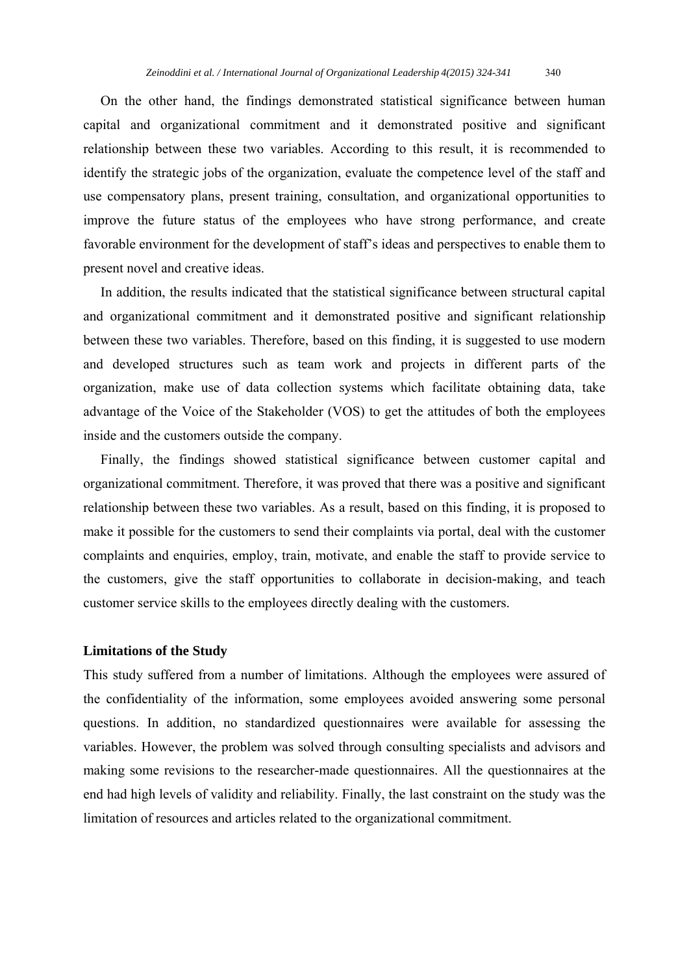On the other hand, the findings demonstrated statistical significance between human capital and organizational commitment and it demonstrated positive and significant relationship between these two variables. According to this result, it is recommended to identify the strategic jobs of the organization, evaluate the competence level of the staff and use compensatory plans, present training, consultation, and organizational opportunities to improve the future status of the employees who have strong performance, and create favorable environment for the development of staff's ideas and perspectives to enable them to present novel and creative ideas.

 In addition, the results indicated that the statistical significance between structural capital and organizational commitment and it demonstrated positive and significant relationship between these two variables. Therefore, based on this finding, it is suggested to use modern and developed structures such as team work and projects in different parts of the organization, make use of data collection systems which facilitate obtaining data, take advantage of the Voice of the Stakeholder (VOS) to get the attitudes of both the employees inside and the customers outside the company.

 Finally, the findings showed statistical significance between customer capital and organizational commitment. Therefore, it was proved that there was a positive and significant relationship between these two variables. As a result, based on this finding, it is proposed to make it possible for the customers to send their complaints via portal, deal with the customer complaints and enquiries, employ, train, motivate, and enable the staff to provide service to the customers, give the staff opportunities to collaborate in decision-making, and teach customer service skills to the employees directly dealing with the customers.

# **Limitations of the Study**

This study suffered from a number of limitations. Although the employees were assured of the confidentiality of the information, some employees avoided answering some personal questions. In addition, no standardized questionnaires were available for assessing the variables. However, the problem was solved through consulting specialists and advisors and making some revisions to the researcher-made questionnaires. All the questionnaires at the end had high levels of validity and reliability. Finally, the last constraint on the study was the limitation of resources and articles related to the organizational commitment.